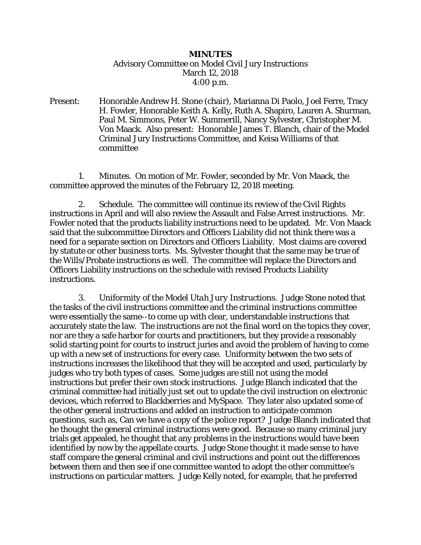## *MINUTES* Advisory Committee on Model Civil Jury Instructions March 12, 2018 4:00 p.m.

Present: Honorable Andrew H. Stone (chair), Marianna Di Paolo, Joel Ferre, Tracy H. Fowler, Honorable Keith A. Kelly, Ruth A. Shapiro, Lauren A. Shurman, Paul M. Simmons, Peter W. Summerill, Nancy Sylvester, Christopher M. Von Maack. Also present: Honorable James T. Blanch, chair of the Model Criminal Jury Instructions Committee, and Keisa Williams of that committee

 1. *Minutes.* On motion of Mr. Fowler, seconded by Mr. Von Maack, the committee approved the minutes of the February 12, 2018 meeting.

 2. *Schedule.* The committee will continue its review of the Civil Rights instructions in April and will also review the Assault and False Arrest instructions. Mr. Fowler noted that the products liability instructions need to be updated. Mr. Von Maack said that the subcommittee Directors and Officers Liability did not think there was a need for a separate section on Directors and Officers Liability. Most claims are covered by statute or other business torts. Ms. Sylvester thought that the same may be true of the Wills/Probate instructions as well. The committee will replace the Directors and Officers Liability instructions on the schedule with revised Products Liability instructions.

 3. *Uniformity of the Model Utah Jury Instructions.* Judge Stone noted that the tasks of the civil instructions committee and the criminal instructions committee were essentially the same--to come up with clear, understandable instructions that accurately state the law. The instructions are not the final word on the topics they cover, nor are they a safe harbor for courts and practitioners, but they provide a reasonably solid starting point for courts to instruct juries and avoid the problem of having to come up with a new set of instructions for every case. Uniformity between the two sets of instructions increases the likelihood that they will be accepted and used, particularly by judges who try both types of cases. Some judges are still not using the model instructions but prefer their own stock instructions. Judge Blanch indicated that the criminal committee had initially just set out to update the civil instruction on electronic devices, which referred to Blackberries and MySpace. They later also updated some of the other general instructions and added an instruction to anticipate common questions, such as, Can we have a copy of the police report? Judge Blanch indicated that he thought the general criminal instructions were good. Because so many criminal jury trials get appealed, he thought that any problems in the instructions would have been identified by now by the appellate courts. Judge Stone thought it made sense to have staff compare the general criminal and civil instructions and point out the differences between them and then see if one committee wanted to adopt the other committee's instructions on particular matters. Judge Kelly noted, for example, that he preferred